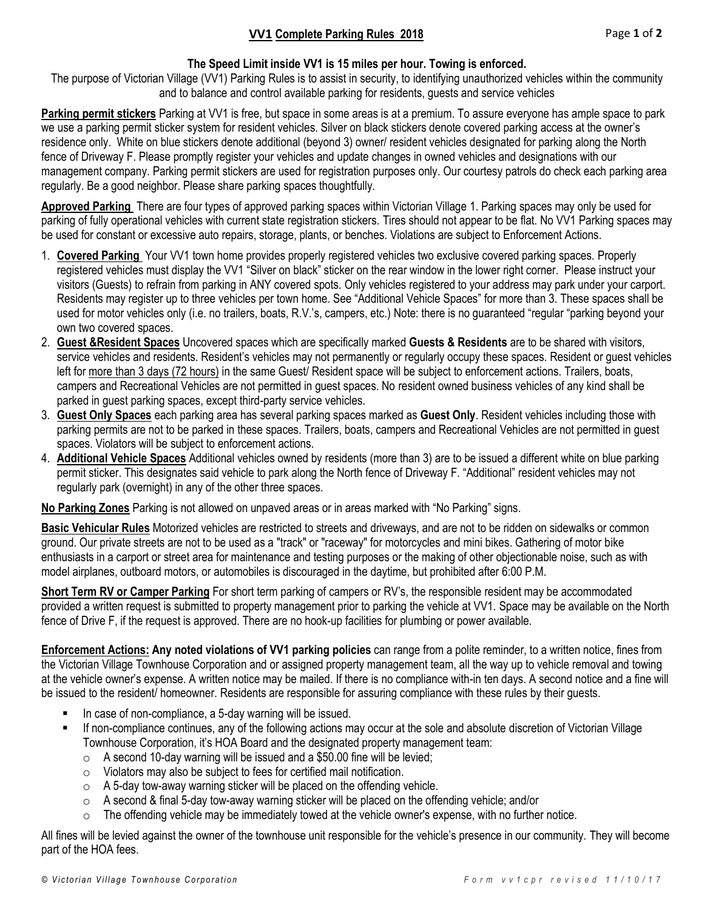#### **The Speed Limit inside VV1 is 15 miles per hour. Towing is enforced.**

The purpose of Victorian Village (VV1) Parking Rules is to assist in security, to identifying unauthorized vehicles within the community and to balance and control available parking for residents, guests and service vehicles

**Parking permit stickers** Parking at VV1 is free, but space in some areas is at a premium. To assure everyone has ample space to park we use a parking permit sticker system for resident vehicles. Silver on black stickers denote covered parking access at the owner's residence only. White on blue stickers denote additional (beyond 3) owner/ resident vehicles designated for parking along the North fence of Driveway F. Please promptly register your vehicles and update changes in owned vehicles and designations with our management company. Parking permit stickers are used for registration purposes only. Our courtesy patrols do check each parking area regularly. Be a good neighbor. Please share parking spaces thoughtfully.

**Approved Parking** There are four types of approved parking spaces within Victorian Village 1. Parking spaces may only be used for parking of fully operational vehicles with current state registration stickers. Tires should not appear to be flat. No VV1 Parking spaces may be used for constant or excessive auto repairs, storage, plants, or benches. Violations are subject to Enforcement Actions.

- 1. **Covered Parking** Your VV1 town home provides properly registered vehicles two exclusive covered parking spaces. Properly registered vehicles must display the VV1 "Silver on black" sticker on the rear window in the lower right corner. Please instruct your visitors (Guests) to refrain from parking in ANY covered spots. Only vehicles registered to your address may park under your carport. Residents may register up to three vehicles per town home. See "Additional Vehicle Spaces" for more than 3. These spaces shall be used for motor vehicles only (i.e. no trailers, boats, R.V.'s, campers, etc.) Note: there is no guaranteed "regular "parking beyond your own two covered spaces.
- 2. **Guest &Resident Spaces** Uncovered spaces which are specifically marked **Guests & Residents** are to be shared with visitors, service vehicles and residents. Resident's vehicles may not permanently or regularly occupy these spaces. Resident or guest vehicles left for more than 3 days (72 hours) in the same Guest/ Resident space will be subject to enforcement actions. Trailers, boats, campers and Recreational Vehicles are not permitted in guest spaces. No resident owned business vehicles of any kind shall be parked in guest parking spaces, except third-party service vehicles.
- 3. **Guest Only Spaces** each parking area has several parking spaces marked as **Guest Only**. Resident vehicles including those with parking permits are not to be parked in these spaces. Trailers, boats, campers and Recreational Vehicles are not permitted in guest spaces. Violators will be subject to enforcement actions.
- 4. **Additional Vehicle Spaces** Additional vehicles owned by residents (more than 3) are to be issued a different white on blue parking permit sticker. This designates said vehicle to park along the North fence of Driveway F. "Additional" resident vehicles may not regularly park (overnight) in any of the other three spaces.

**No Parking Zones** Parking is not allowed on unpaved areas or in areas marked with "No Parking" signs.

**Basic Vehicular Rules** Motorized vehicles are restricted to streets and driveways, and are not to be ridden on sidewalks or common ground. Our private streets are not to be used as a "track" or "raceway" for motorcycles and mini bikes. Gathering of motor bike enthusiasts in a carport or street area for maintenance and testing purposes or the making of other objectionable noise, such as with model airplanes, outboard motors, or automobiles is discouraged in the daytime, but prohibited after 6:00 P.M.

**Short Term RV or Camper Parking** For short term parking of campers or RV's, the responsible resident may be accommodated provided a written request is submitted to property management prior to parking the vehicle at VV1. Space may be available on the North fence of Drive F, if the request is approved. There are no hook-up facilities for plumbing or power available.

**Enforcement Actions: Any noted violations of VV1 parking policies** can range from a polite reminder, to a written notice, fines from the Victorian Village Townhouse Corporation and or assigned property management team, all the way up to vehicle removal and towing at the vehicle owner's expense. A written notice may be mailed. If there is no compliance with-in ten days. A second notice and a fine will be issued to the resident/ homeowner. Residents are responsible for assuring compliance with these rules by their guests.

- In case of non-compliance, a 5-day warning will be issued.
- If non-compliance continues, any of the following actions may occur at the sole and absolute discretion of Victorian Village Townhouse Corporation, it's HOA Board and the designated property management team:
	- o A second 10-day warning will be issued and a \$50.00 fine will be levied;
	- o Violators may also be subject to fees for certified mail notification.
	- $\circ$  A 5-day tow-away warning sticker will be placed on the offending vehicle.
	- $\circ$  A second & final 5-day tow-away warning sticker will be placed on the offending vehicle; and/or
	- o The offending vehicle may be immediately towed at the vehicle owner's expense, with no further notice.

All fines will be levied against the owner of the townhouse unit responsible for the vehicle's presence in our community. They will become part of the HOA fees.